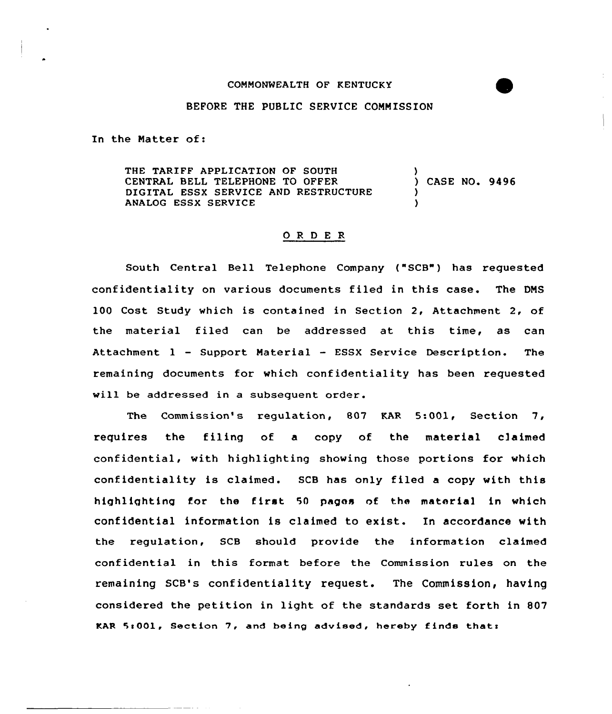## CONNONWEALTH OF KENTUCKY

## BEFORE THE PUBLIC SERVICE CONNISSION

In the Natter of:

THE TARIFF APPLICATION OF SOUTH CENTRAL BELL TELEPHONE TO OFFER DIGITAL ESSX SERVICE AND RESTRUCTURE ANALOG ESSX SERVICE ) ) CASE NO. 9496 ) )

## 0 <sup>R</sup> <sup>D</sup> <sup>E</sup> R

South Central Bell Telephone Company ("SCB") has requested confidentiality on various documents filed in this case. The DNS 100 Cost Study which is contained in Section 2, Attachment 2, of the material filed can be addressed at this time, as can Attachment 1 — Suppoxt Natexial — ESSX Service Desexiption. The remaining documents for which confidentiality has been requested will be addressed in a subsequent order.

The Commission's regulation, 807 KAR 5:001, Section 7, requires the filing of a copy of the material e)aimed confidential, with highlighting showing those portions fox which confidentiality is claimed. SCB has only filed a copy with this highlighting for the first <sup>50</sup> pages of the material in which confidential information is claimed to exist. In accordance with the regulation, SCB should provide the information claimed confidential in this format before the Commission rules on the remaining SCB's confidentiality request. The Commission, having considered the petition in light of the standards set forth in 807 KAR 5:001, Section 7, and being advised, hereby finds that: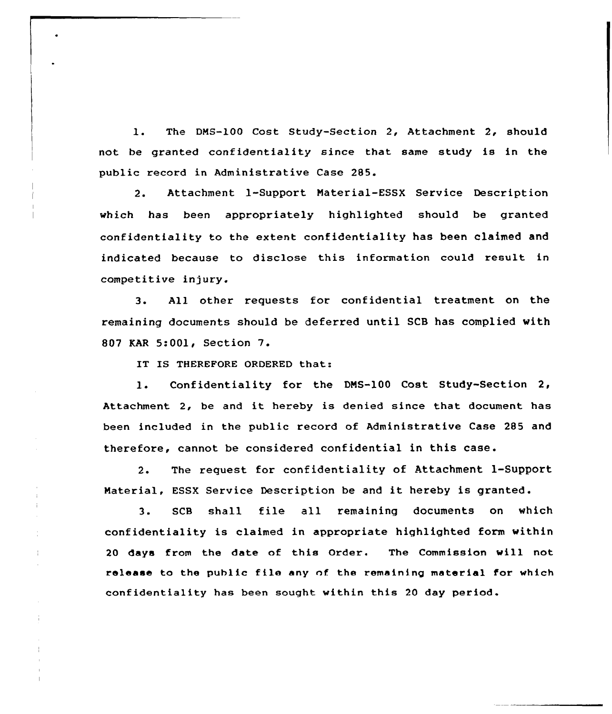1. The DMS-100 Cost Study-Section 2, Attachment 2, should not be granted confidentiality since that same study is in the public record in Administrative Case 285.

2. Attachment 1-Support Material-ESSX Service Description which has been appropriately highlighted should be granted confidentiality to the extent confidentiality has been claimed and indicated because to disclose this information could result in competitive injury.

3. All other requests for confidential treatment on the remaining documents should be deferred until SCB has complied with <sup>807</sup> KAR 5:001, Section 7.

IT IS THEREFORE ORDERED that:

1. Confidentiality for the DMS-100 Cost Study-Section 2, Attachment 2, be and it hereby is denied since that document has been included in the public record of Administrative Case 285 and therefore, cannot be considered confidential in this case.

2. The request for confidentiality of Attachment 1-Support Material, ESSX Service Description be and it hereby is granted.

3. SCB shall file all remaining documents on which confidentiality is claimed in appropriate highlighted form within 20 days from the date of this Order. The Commission will not release to the public file any of the remaining material for which confidentiality has been sought within this 20 day period.